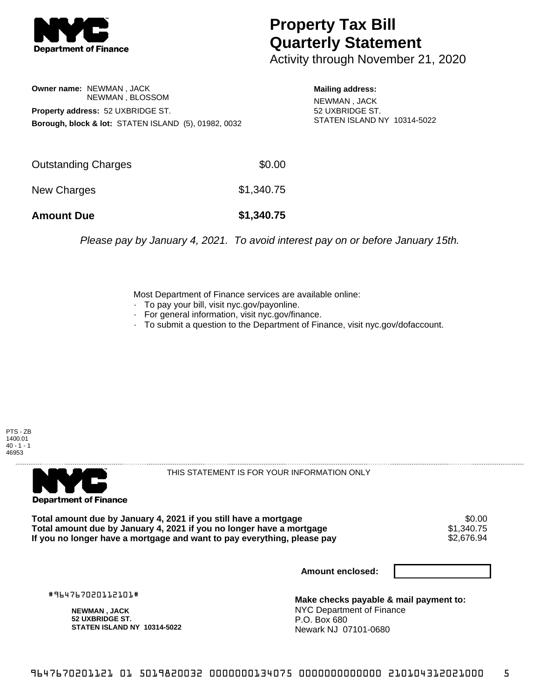

## **Property Tax Bill Quarterly Statement**

Activity through November 21, 2020

## **Owner name:** NEWMAN , JACK NEWMAN , BLOSSOM **Property address:** 52 UXBRIDGE ST. **Borough, block & lot:** STATEN ISLAND (5), 01982, 0032

**Mailing address:** NEWMAN , JACK 52 UXBRIDGE ST. STATEN ISLAND NY 10314-5022

| <b>Amount Due</b>   | \$1,340.75 |
|---------------------|------------|
| New Charges         | \$1,340.75 |
| Outstanding Charges | \$0.00     |

Please pay by January 4, 2021. To avoid interest pay on or before January 15th.

Most Department of Finance services are available online:

- · To pay your bill, visit nyc.gov/payonline.
- For general information, visit nyc.gov/finance.
- · To submit a question to the Department of Finance, visit nyc.gov/dofaccount.





THIS STATEMENT IS FOR YOUR INFORMATION ONLY

Total amount due by January 4, 2021 if you still have a mortgage \$0.00<br>Total amount due by January 4, 2021 if you no longer have a mortgage \$1.340.75 **Total amount due by January 4, 2021 if you no longer have a mortgage**  $$1,340.75$ **<br>If you no longer have a mortgage and want to pay everything, please pay**  $$2,676.94$ If you no longer have a mortgage and want to pay everything, please pay

**Amount enclosed:**

#964767020112101#

**NEWMAN , JACK 52 UXBRIDGE ST. STATEN ISLAND NY 10314-5022**

**Make checks payable & mail payment to:** NYC Department of Finance P.O. Box 680 Newark NJ 07101-0680